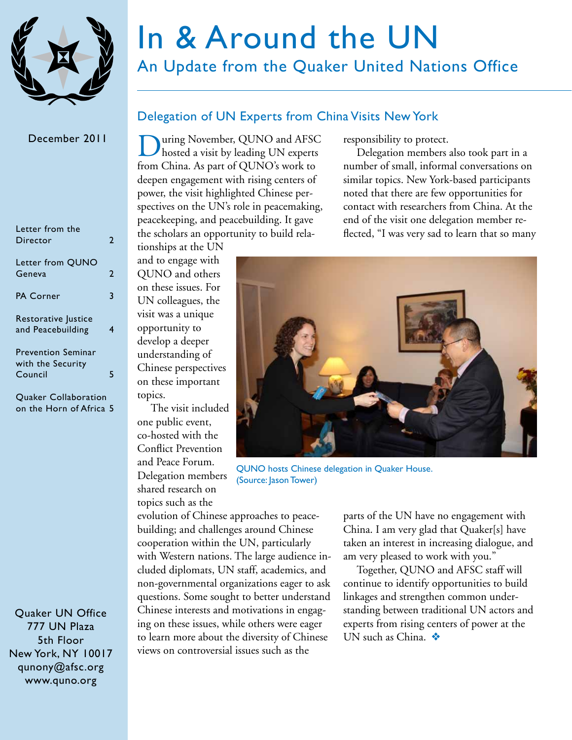

# In & Around the UN

### An Update from the Quaker United Nations Office

#### December 2011

| Letter from the<br>Director                               | 2 |
|-----------------------------------------------------------|---|
| Letter from QUNO<br>Geneva                                | 2 |
| PA Corner                                                 | 3 |
| Restorative Justice<br>and Peacebuilding                  |   |
| <b>Prevention Seminar</b><br>with the Security<br>Council |   |
|                                                           |   |

Quaker Collaboration on the Horn of Africa 5

Quaker UN Office 777 UN Plaza 5th Floor New York, NY 10017 [qunony@afsc.org](mailto:qunony%40afsc.org?subject=) [www.quno.org](http://www.quno.org)

### Delegation of UN Experts from China Visits New York

During November, QUNO and AFSC<br>hosted a visit by leading UN experts from China. As part of QUNO's work to deepen engagement with rising centers of power, the visit highlighted Chinese perspectives on the UN's role in peacemaking, peacekeeping, and peacebuilding. It gave the scholars an opportunity to build rela-

responsibility to protect.

Delegation members also took part in a number of small, informal conversations on similar topics. New York-based participants noted that there are few opportunities for contact with researchers from China. At the end of the visit one delegation member reflected, "I was very sad to learn that so many

tionships at the UN and to engage with QUNO and others on these issues. For UN colleagues, the visit was a unique opportunity to develop a deeper understanding of Chinese perspectives on these important topics.

The visit included one public event, co-hosted with the Conflict Prevention and Peace Forum. Delegation members shared research on topics such as the

evolution of Chinese approaches to peacebuilding; and challenges around Chinese cooperation within the UN, particularly with Western nations. The large audience included diplomats, UN staff, academics, and non-governmental organizations eager to ask questions. Some sought to better understand Chinese interests and motivations in engaging on these issues, while others were eager to learn more about the diversity of Chinese views on controversial issues such as the



QUNO hosts Chinese delegation in Quaker House. (Source: Jason Tower)

parts of the UN have no engagement with China. I am very glad that Quaker[s] have taken an interest in increasing dialogue, and am very pleased to work with you."

Together, QUNO and AFSC staff will continue to identify opportunities to build linkages and strengthen common understanding between traditional UN actors and experts from rising centers of power at the UN such as China.  $\bullet$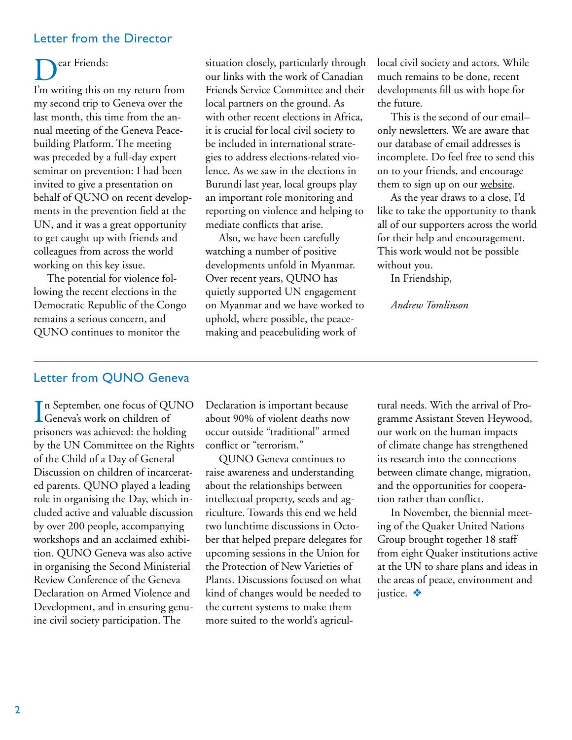### Letter from the Director

### ear Friends:

I'm writing this on my return from my second trip to Geneva over the last month, this time from the annual meeting of the Geneva Peacebuilding Platform. The meeting was preceded by a full-day expert seminar on prevention: I had been invited to give a presentation on behalf of QUNO on recent developments in the prevention field at the UN, and it was a great opportunity to get caught up with friends and colleagues from across the world working on this key issue.

The potential for violence following the recent elections in the Democratic Republic of the Congo remains a serious concern, and QUNO continues to monitor the

situation closely, particularly through our links with the work of Canadian Friends Service Committee and their local partners on the ground. As with other recent elections in Africa, it is crucial for local civil society to be included in international strategies to address elections-related violence. As we saw in the elections in Burundi last year, local groups play an important role monitoring and reporting on violence and helping to mediate conflicts that arise.

Also, we have been carefully watching a number of positive developments unfold in Myanmar. Over recent years, QUNO has quietly supported UN engagement on Myanmar and we have worked to uphold, where possible, the peacemaking and peacebuliding work of

local civil society and actors. While much remains to be done, recent developments fill us with hope for the future.

This is the second of our email– only newsletters. We are aware that our database of email addresses is incomplete. Do feel free to send this on to your friends, and encourage them to sign up on our [website](www.quno.org).

As the year draws to a close, I'd like to take the opportunity to thank all of our supporters across the world for their help and encouragement. This work would not be possible without you.

In Friendship,

*Andrew Tomlinson*

### Letter from QUNO Geneva

In September, one focus of QU<br>Geneva's work on children of n September, one focus of QUNO prisoners was achieved: the holding by the UN Committee on the Rights of the Child of a Day of General Discussion on children of incarcerated parents. QUNO played a leading role in organising the Day, which included active and valuable discussion by over 200 people, accompanying workshops and an acclaimed exhibition. QUNO Geneva was also active in organising the Second Ministerial Review Conference of the Geneva Declaration on Armed Violence and Development, and in ensuring genuine civil society participation. The

Declaration is important because about 90% of violent deaths now occur outside "traditional" armed conflict or "terrorism."

QUNO Geneva continues to raise awareness and understanding about the relationships between intellectual property, seeds and agriculture. Towards this end we held two lunchtime discussions in October that helped prepare delegates for upcoming sessions in the Union for the Protection of New Varieties of Plants. Discussions focused on what kind of changes would be needed to the current systems to make them more suited to the world's agricultural needs. With the arrival of Programme Assistant Steven Heywood, our work on the human impacts of climate change has strengthened its research into the connections between climate change, migration, and the opportunities for cooperation rather than conflict.

In November, the biennial meeting of the Quaker United Nations Group brought together 18 staff from eight Quaker institutions active at the UN to share plans and ideas in the areas of peace, environment and justice. ※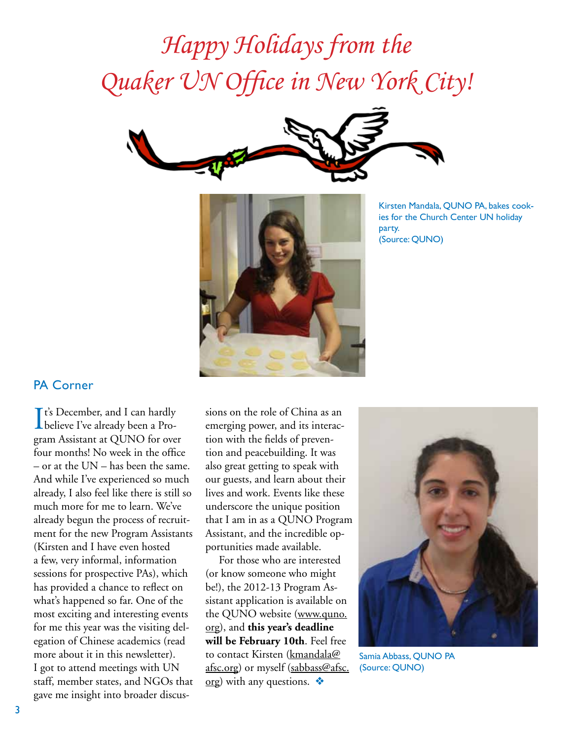## *Happy Holidays from the Quaker UN Office in New York City!*





Kirsten Mandala, QUNO PA, bakes cookies for the Church Center UN holiday party. (Source: QUNO)

### PA Corner

It's December, and I can hardly<br>believe I've already been a Pro-**T** t's December, and I can hardly gram Assistant at QUNO for over four months! No week in the office – or at the UN – has been the same. And while I've experienced so much already, I also feel like there is still so much more for me to learn. We've already begun the process of recruitment for the new Program Assistants (Kirsten and I have even hosted a few, very informal, information sessions for prospective PAs), which has provided a chance to reflect on what's happened so far. One of the most exciting and interesting events for me this year was the visiting delegation of Chinese academics (read more about it in this newsletter). I got to attend meetings with UN staff, member states, and NGOs that gave me insight into broader discus-

sions on the role of China as an emerging power, and its interaction with the fields of prevention and peacebuilding. It was also great getting to speak with our guests, and learn about their lives and work. Events like these underscore the unique position that I am in as a QUNO Program Assistant, and the incredible opportunities made available.

For those who are interested (or know someone who might be!), the 2012-13 Program Assistant application is available on the QUNO website (www.quno. org), and **this year's deadline will be February 10th**. Feel free to contact Kirsten [\(kmandala@](mailto:kmandala%40afsc.org?subject=) [afsc.org](mailto:kmandala%40afsc.org?subject=)) or myself [\(sabbass@afsc.](mailto:sabbass%40afsc.org?subject=) [org](mailto:sabbass%40afsc.org?subject=)) with any questions.  $\triangle$ 



Samia Abbass, QUNO PA (Source: QUNO)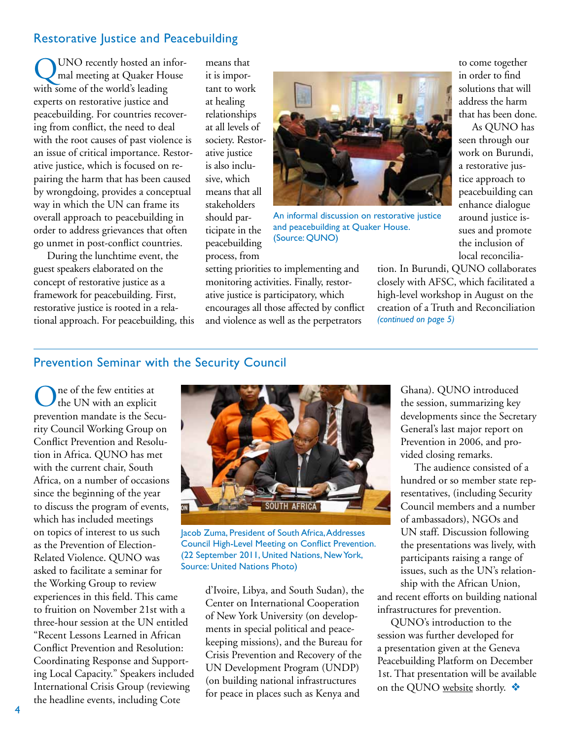### Restorative Justice and Peacebuilding

UNO recently hosted an informal meeting at Quaker House with some of the world's leading experts on restorative justice and peacebuilding. For countries recovering from conflict, the need to deal with the root causes of past violence is an issue of critical importance. Restorative justice, which is focused on repairing the harm that has been caused by wrongdoing, provides a conceptual way in which the UN can frame its overall approach to peacebuilding in order to address grievances that often go unmet in post-conflict countries.

During the lunchtime event, the guest speakers elaborated on the concept of restorative justice as a framework for peacebuilding. First, restorative justice is rooted in a relational approach. For peacebuilding, this means that it is important to work at healing relationships at all levels of society. Restorative justice is also inclusive, which means that all stakeholders should participate in the peacebuilding process, from



An informal discussion on restorative justice and peacebuilding at Quaker House. (Source: QUNO)

setting priorities to implementing and monitoring activities. Finally, restorative justice is participatory, which encourages all those affected by conflict and violence as well as the perpetrators

to come together in order to find solutions that will address the harm that has been done.

As QUNO has seen through our work on Burundi, a restorative justice approach to peacebuilding can enhance dialogue around justice issues and promote the inclusion of local reconcilia-

tion. In Burundi, QUNO collaborates closely with AFSC, which facilitated a high-level workshop in August on the creation of a Truth and Reconciliation *(continued on page 5)*

### Prevention Seminar with the Security Council

One of the few entities at the UN with an explicit prevention mandate is the Security Council Working Group on Conflict Prevention and Resolution in Africa. QUNO has met with the current chair, South Africa, on a number of occasions since the beginning of the year to discuss the program of events, which has included meetings on topics of interest to us such as the Prevention of Election-Related Violence. QUNO was asked to facilitate a seminar for the Working Group to review experiences in this field. This came to fruition on November 21st with a three-hour session at the UN entitled "Recent Lessons Learned in African Conflict Prevention and Resolution: Coordinating Response and Supporting Local Capacity." Speakers included International Crisis Group (reviewing the headline events, including Cote



Jacob Zuma, President of South Africa, Addresses Council High-Level Meeting on Conflict Prevention. (22 September 2011, United Nations, New York, Source: United Nations Photo)

d'Ivoire, Libya, and South Sudan), the Center on International Cooperation of New York University (on developments in special political and peacekeeping missions), and the Bureau for Crisis Prevention and Recovery of the UN Development Program (UNDP) (on building national infrastructures for peace in places such as Kenya and

Ghana). QUNO introduced the session, summarizing key developments since the Secretary General's last major report on Prevention in 2006, and provided closing remarks.

The audience consisted of a hundred or so member state representatives, (including Security Council members and a number of ambassadors), NGOs and UN staff. Discussion following the presentations was lively, with participants raising a range of issues, such as the UN's relationship with the African Union,

and recent efforts on building national infrastructures for prevention.

QUNO's introduction to the session was further developed for a presentation given at the Geneva Peacebuilding Platform on December 1st. That presentation will be available on the QUNO [website](http://www.quno.org) shortly.  $\clubsuit$